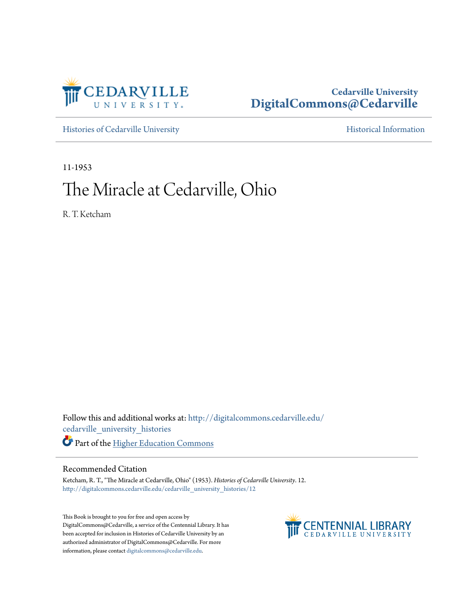

### **Cedarville University [DigitalCommons@Cedarville](http://digitalcommons.cedarville.edu?utm_source=digitalcommons.cedarville.edu%2Fcedarville_university_histories%2F12&utm_medium=PDF&utm_campaign=PDFCoverPages)**

[Histories of Cedarville University](http://digitalcommons.cedarville.edu/cedarville_university_histories?utm_source=digitalcommons.cedarville.edu%2Fcedarville_university_histories%2F12&utm_medium=PDF&utm_campaign=PDFCoverPages) **[Historical Information](http://digitalcommons.cedarville.edu/cedarville_history?utm_source=digitalcommons.cedarville.edu%2Fcedarville_university_histories%2F12&utm_medium=PDF&utm_campaign=PDFCoverPages)** 

11-1953

# The Miracle at Cedarville, Ohio

R. T. Ketcham

Follow this and additional works at: [http://digitalcommons.cedarville.edu/](http://digitalcommons.cedarville.edu/cedarville_university_histories?utm_source=digitalcommons.cedarville.edu%2Fcedarville_university_histories%2F12&utm_medium=PDF&utm_campaign=PDFCoverPages) [cedarville\\_university\\_histories](http://digitalcommons.cedarville.edu/cedarville_university_histories?utm_source=digitalcommons.cedarville.edu%2Fcedarville_university_histories%2F12&utm_medium=PDF&utm_campaign=PDFCoverPages) Part of the [Higher Education Commons](http://network.bepress.com/hgg/discipline/1245?utm_source=digitalcommons.cedarville.edu%2Fcedarville_university_histories%2F12&utm_medium=PDF&utm_campaign=PDFCoverPages)

#### Recommended Citation

Ketcham, R. T., "The Miracle at Cedarville, Ohio" (1953). *Histories of Cedarville University*. 12. [http://digitalcommons.cedarville.edu/cedarville\\_university\\_histories/12](http://digitalcommons.cedarville.edu/cedarville_university_histories/12?utm_source=digitalcommons.cedarville.edu%2Fcedarville_university_histories%2F12&utm_medium=PDF&utm_campaign=PDFCoverPages)

This Book is brought to you for free and open access by DigitalCommons@Cedarville, a service of the Centennial Library. It has been accepted for inclusion in Histories of Cedarville University by an authorized administrator of DigitalCommons@Cedarville. For more information, please contact [digitalcommons@cedarville.edu.](mailto:digitalcommons@cedarville.edu)

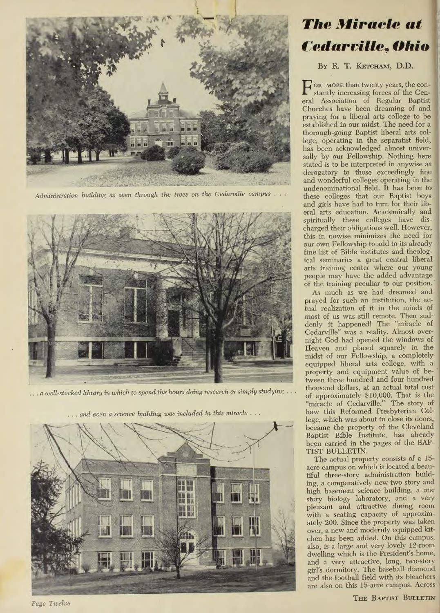

*Administration building as seen through the trees on the Cedarr:lille campus* 



... *a well-stocked library in which to spend the hours doing research or simply studying ...* 



*The Miracle at Cedarville~ Ohio* 

#### BY R. T. KETCHAM, D.D.

F OR MORE than twenty years, the constantly increasing forces of the General Association of Regular Baptist Churches have been dreaming of and praying for a liberal arts college to be established in our midst, The need for a thorough-going Baptist liberal arts college, operating in the separatist field, has been acknowledged almost universally by our Fellowship. Nothing here stated is to be interpreted in anywise as derogatory to those exceedingly fine and wonderful colleges operating in the undenominational field. It has been to these colleges that our Baptist boys and girls have had to turn for their liberal arts education. Academically and spiritually these colleges have discharged their obligations well. However, this in nowise minimizes the need for our own Fellowship to add to its already fine list of Bible institutes and theological seminaries a great central liberal arts training center where our young people may have the added advantage of the training peculiar to our position.

much as we had dreamed and prayed for such an institution, the actual realization of it in the minds of most of us was still remote. Then suddenly it happened! The "miracle of Cedarville" was a reality. Almost overnight God had opened the windows of Heaven and placed squarely in the midst of our Fellowship, a completely equipped liberal arts college, with a property and equipment value of between three hundred and four hundred thousand dollars, at an actual total cost of approximately \$10,000. That is the "miracle of Cedarville." The story of how this Reformed Presbyterian College, which was about to close its doors, became the property of the Cleveland Baptist Bible Institute, has already been carried in the pages of the BAP-TIST BULLETIN.

The actual property consists of a 15acre campus on which is located a beautiful three-story administration building, a comparatively new two story and high basement science building, a one story biology laboratory, and a very pleasant and attractive dining room with a seating capacity of approximately 200. Since the property was taken over, a new and modernly equipped kitchen has been added. On this campus, also, is a large and very lovely 12-room dwelling which is the President's home, and a very attractive, long, two-story girl's dormitory. The baseball diamond and the football field with its bleachers are also on this 15-acre campus. Across

THE BAPTIST BULLETIN

*Page T1cdc<sup>e</sup>*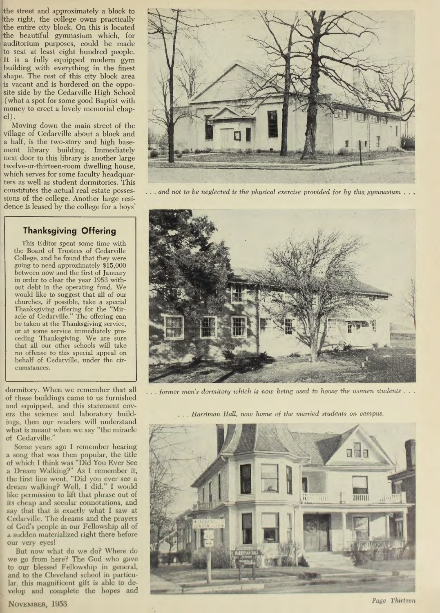the street and approximately a block to he right, the college owns practically the entire city block. On this is located the beautiful gymnasium which, for auditorium purposes, could be made to seat at least eight hundred people. It is a fully equipped modern gym building with everything in the finest shape. The rest of this city block area is vacant and is bordered on the opposite side by the Cedarville High School ( what a spot for some good Baptist with money to erect a lovely memorial chap $el$ ).

Moving down the main street of the village of Cedarville about a block and a half, is the two-story and high basement library building. Immediately next door to this library is another large twelve-or-thirteen-room dwelling house, which serves for some faculty headquarters as well as student dormitories. This sions of the college. Another large residence is leased by the college for a boys'

## **Thanksgiving Offering**

This Editor spent some time with the Board of Trustees of Cedarville College, and he found that they were going to need approximately \$15,000 between now and the first of January in order to clear the year 1953 without debt in the operating fund. We <sup>w</sup>ould like to suggest that all of our <sup>c</sup>hurches, if possible, take a special Thanksgiving offering for the **"Mir**acle of Cedarville." The offering can be taken at the Thanksgiving service, or at some service immediately preceding Thanksgiving. We are sure that all our other schools will take no offense to this special appeal on behalf of Cedarville, under the circumstances.

of these buildings came to us furnished and equipped, and this statement covings, then our readers will understand what is meant when we say "the miracle of Cedarville.'

Some years ago I remember hearing a song that was then popular, the title of which I think was "Did You Ever See a Dream Walking?" As I remember it, the first line went, "Did you ever see a dream walking? Well, I did." I would like permission to lift that phrase out of its cheap and secular connotations, and say that that is exactly what I saw at Cedarville. The dreams and the prayers of God's people in our Fellowship all of a sudden materialized right there before our very eyes!

But now what do we do? Where do we go from here? The God who gave to our blessed Fellowship in general, and to the Cleveland school in particular, this magnificent gift is able to develop and complete the hopes and



constitutes the actual real estate posses-... and not to be neglected is the physical exercise provided for by this gymnasium ...



dormitory. When we remember that all ... *former men's dormitory which is now being used to house the women students* ...

ers the science and laboratory build- ... *Harriman Hall, now home of the married students on campus.*